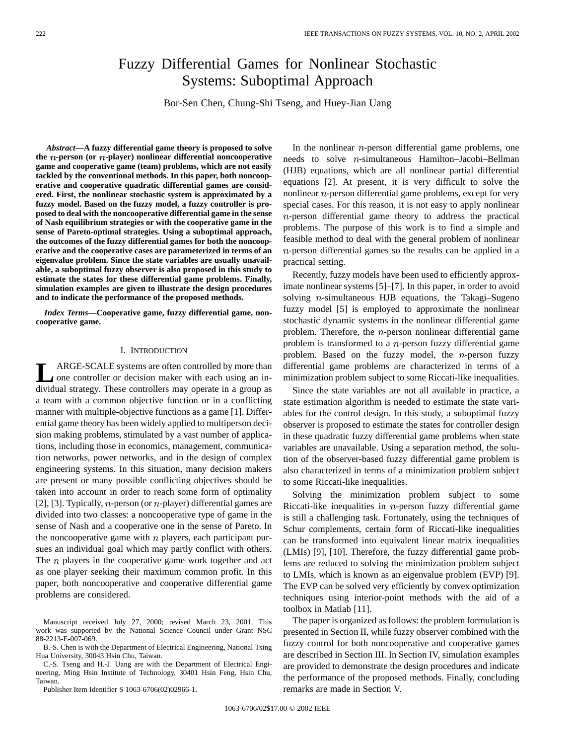# Fuzzy Differential Games for Nonlinear Stochastic Systems: Suboptimal Approach

Bor-Sen Chen, Chung-Shi Tseng, and Huey-Jian Uang

*Abstract—***A fuzzy differential game theory is proposed to solve the -person (or -player) nonlinear differential noncooperative game and cooperative game (team) problems, which are not easily tackled by the conventional methods. In this paper, both noncooperative and cooperative quadratic differential games are considered. First, the nonlinear stochastic system is approximated by a fuzzy model. Based on the fuzzy model, a fuzzy controller is proposed to deal with the noncooperative differential game in the sense of Nash equilibrium strategies or with the cooperative game in the sense of Pareto-optimal strategies. Using a suboptimal approach, the outcomes of the fuzzy differential games for both the noncooperative and the cooperative cases are parameterized in terms of an eigenvalue problem. Since the state variables are usually unavailable, a suboptimal fuzzy observer is also proposed in this study to estimate the states for these differential game problems. Finally, simulation examples are given to illustrate the design procedures and to indicate the performance of the proposed methods.**

*Index Terms—***Cooperative game, fuzzy differential game, noncooperative game.**

## I. INTRODUCTION

**L** ARGE-SCALE systems are often controlled by more than<br>one controller or decision maker with each using an individual strategy. These controllers may operate in a group as a team with a common objective function or in a conflicting manner with multiple-objective functions as a game [1]. Differential game theory has been widely applied to multiperson decision making problems, stimulated by a vast number of applications, including those in economics, management, communication networks, power networks, and in the design of complex engineering systems. In this situation, many decision makers are present or many possible conflicting objectives should be taken into account in order to reach some form of optimality [2], [3]. Typically, *n*-person (or *n*-player) differential games are divided into two classes: a noncooperative type of game in the sense of Nash and a cooperative one in the sense of Pareto. In the noncooperative game with  $n$  players, each participant pursues an individual goal which may partly conflict with others. The  $n$  players in the cooperative game work together and act as one player seeking their maximum common profit. In this paper, both noncooperative and cooperative differential game problems are considered.

Manuscript received July 27, 2000; revised March 23, 2001. This work was supported by the National Science Council under Grant NSC 88-2213-E-007-069.

B.-S. Chen is with the Department of Electrical Engineering, National Tsing Hua University, 30043 Hsin Chu, Taiwan.

C.-S. Tseng and H.-J. Uang are with the Department of Electrical Engineering, Ming Hsin Institute of Technology, 30401 Hsin Feng, Hsin Chu, Taiwan.

Publisher Item Identifier S 1063-6706(02)02966-1.

In the nonlinear  $n$ -person differential game problems, one needs to solve  $n$ -simultaneous Hamilton–Jacobi–Bellman (HJB) equations, which are all nonlinear partial differential equations [2]. At present, it is very difficult to solve the nonlinear  $n$ -person differential game problems, except for very special cases. For this reason, it is not easy to apply nonlinear  $n$ -person differential game theory to address the practical problems. The purpose of this work is to find a simple and feasible method to deal with the general problem of nonlinear  $n$ -person differential games so the results can be applied in a practical setting.

Recently, fuzzy models have been used to efficiently approximate nonlinear systems [5]–[7]. In this paper, in order to avoid solving  $n$ -simultaneous HJB equations, the Takagi–Sugeno fuzzy model [5] is employed to approximate the nonlinear stochastic dynamic systems in the nonlinear differential game problem. Therefore, the  $n$ -person nonlinear differential game problem is transformed to a  $n$ -person fuzzy differential game problem. Based on the fuzzy model, the  $n$ -person fuzzy differential game problems are characterized in terms of a minimization problem subject to some Riccati-like inequalities.

Since the state variables are not all available in practice, a state estimation algorithm is needed to estimate the state variables for the control design. In this study, a suboptimal fuzzy observer is proposed to estimate the states for controller design in these quadratic fuzzy differential game problems when state variables are unavailable. Using a separation method, the solution of the observer-based fuzzy differential game problem is also characterized in terms of a minimization problem subject to some Riccati-like inequalities.

Solving the minimization problem subject to some Riccati-like inequalities in  $n$ -person fuzzy differential game is still a challenging task. Fortunately, using the techniques of Schur complements, certain form of Riccati-like inequalities can be transformed into equivalent linear matrix inequalities (LMIs) [9], [10]. Therefore, the fuzzy differential game problems are reduced to solving the minimization problem subject to LMIs, which is known as an eigenvalue problem (EVP) [9]. The EVP can be solved very efficiently by convex optimization techniques using interior-point methods with the aid of a toolbox in Matlab [11].

The paper is organized as follows: the problem formulation is presented in Section II, while fuzzy observer combined with the fuzzy control for both noncooperative and cooperative games are described in Section III. In Section IV, simulation examples are provided to demonstrate the design procedures and indicate the performance of the proposed methods. Finally, concluding remarks are made in Section V.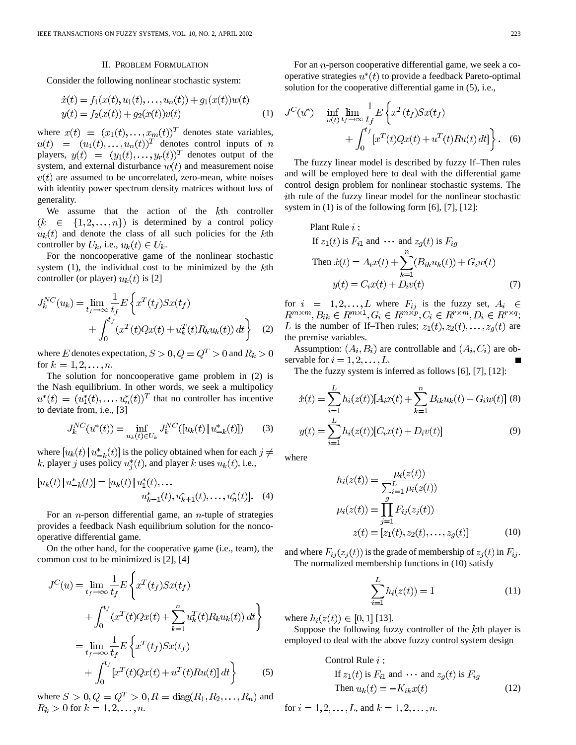#### II. PROBLEM FORMULATION

Consider the following nonlinear stochastic system:

$$
\begin{aligned} \dot{x}(t) &= f_1(x(t), u_1(t), \dots, u_n(t)) + g_1(x(t))w(t) \\ y(t) &= f_2(x(t)) + g_2(x(t))v(t) \end{aligned} \tag{1}
$$

where  $x(t) = (x_1(t), \ldots, x_m(t))^T$  denotes state variables, denotes control inputs of players,  $y(t) = (y_1(t), \ldots, y_r(t))^T$  denotes output of the system, and external disturbance  $w(t)$  and measurement noise  $v(t)$  are assumed to be uncorrelated, zero-mean, white noises with identity power spectrum density matrices without loss of generality.

We assume that the action of the  $k$ <sup>th</sup> controller  $(k \in \{1,2,\ldots,n\})$  is determined by a control policy  $u_k(t)$  and denote the class of all such policies for the kth controller by  $U_k$ , i.e.,  $u_k(t) \in U_k$ .

For the noncooperative game of the nonlinear stochastic system  $(1)$ , the individual cost to be minimized by the  $k$ th controller (or player)  $u_k(t)$  is [2]

$$
J_k^{NC}(u_k) = \lim_{t_f \to \infty} \frac{1}{t_f} E\left\{ x^T(t_f) S x(t_f) + \int_0^{t_f} (x^T(t) Q x(t) + u_k^T(t) R_k u_k(t)) dt \right\}
$$
 (2)

where E denotes expectation,  $S > 0, Q = Q^T > 0$  and  $R_k > 0$ for  $k = 1, 2, ..., n$ .

The solution for noncooperative game problem in (2) is the Nash equilibrium. In other words, we seek a multipolicy  $u^*(t) = (u_1^*(t), \ldots, u_n^*(t))^T$  that no controller has incentive to deviate from, i.e., [3]

$$
J_k^{NC}(u^*(t)) = \inf_{u_k(t) \in U_k} J_k^{NC}([u_k(t) | u^*_{-k}(t)])
$$
 (3)

where  $[u_k(t) | u_{-k}^*(t)]$  is the policy obtained when for each  $j \neq$ k, player j uses policy  $u_i^*(t)$ , and player k uses  $u_k(t)$ , i.e.,

$$
[u_k(t) | u_{-k}^*(t)] = [u_k(t) | u_1^*(t), \dots
$$
  

$$
u_{k-1}^*(t), u_{k+1}^*(t), \dots, u_n^*(t)]. \quad (4)
$$

For an *n*-person differential game, an *n*-tuple of strategies provides a feedback Nash equilibrium solution for the noncooperative differential game.

On the other hand, for the cooperative game (i.e., team), the common cost to be minimized is [2], [4]

$$
J^{C}(u) = \lim_{t_{f} \to \infty} \frac{1}{t_{f}} E\left\{ x^{T}(t_{f}) S x(t_{f}) + \int_{0}^{t_{f}} (x^{T}(t) Q x(t) + \sum_{k=1}^{n} u_{k}^{T}(t) R_{k} u_{k}(t)) dt \right\}
$$
  

$$
= \lim_{t_{f} \to \infty} \frac{1}{t_{f}} E\left\{ x^{T}(t_{f}) S x(t_{f}) + \int_{0}^{t_{f}} [x^{T}(t) Q x(t) + u^{T}(t) R u(t)] dt \right\}
$$
(5)

where  $S > 0, Q = Q^T > 0, R = \text{diag}(R_1, R_2, ..., R_n)$  and  $R_k > 0$  for  $k = 1, 2, ..., n$ .

For an *n*-person cooperative differential game, we seek a cooperative strategies  $u^*(t)$  to provide a feedback Pareto-optimal solution for the cooperative differential game in (5), i.e.,

$$
J^{C}(u^{*}) = \inf_{u(t)} \lim_{t_{f} \to \infty} \frac{1}{t_{f}} E\left\{x^{T}(t_{f}) S x(t_{f}) + \int_{0}^{t_{f}} [x^{T}(t) Q x(t) + u^{T}(t) R u(t) dt] \right\}.
$$
 (6)

The fuzzy linear model is described by fuzzy If–Then rules and will be employed here to deal with the differential game control design problem for nonlinear stochastic systems. The ith rule of the fuzzy linear model for the nonlinear stochastic system in  $(1)$  is of the following form  $[6]$ ,  $[7]$ ,  $[12]$ :

Plant Rule *i* :  
\nIf 
$$
z_1(t)
$$
 is  $F_{i1}$  and  $\cdots$  and  $z_g(t)$  is  $F_{ig}$   
\nThen  $\dot{x}(t) = A_i x(t) + \sum_{k=1}^n (B_{ik} u_k(t)) + G_i w(t)$   
\n $y(t) = C_i x(t) + D_i v(t)$  (7)

for  $i = 1, 2, ..., L$  where  $F_{ij}$  is the fuzzy set, ; is the number of If–Then rules;  $z_1(t), z_2(t), \ldots, z_g(t)$  are the premise variables.

Assumption:  $(A_i, B_i)$  are controllable and  $(A_i, C_i)$  are observable for  $i = 1, 2, \ldots, L$ .

The the fuzzy system is inferred as follows [6], [7], [12]:

$$
\dot{x}(t) = \sum_{i=1}^{L} h_i(z(t)) [A_i x(t) + \sum_{k=1}^{n} B_{ik} u_k(t) + G_i w(t)] \tag{8}
$$

$$
y(t) = \sum_{i=1}^{L} h_i(z(t)) [C_i x(t) + D_i v(t)] \tag{9}
$$

where

$$
h_i(z(t)) = \frac{\mu_i(z(t))}{\sum_{i=1}^L \mu_i(z(t))}
$$
  

$$
\mu_i(z(t)) = \prod_{j=1}^g F_{ij}(z_j(t))
$$
  

$$
z(t) = [z_1(t), z_2(t), \dots, z_g(t)]
$$
 (10)

and where  $F_{ij}(z_j(t))$  is the grade of membership of  $z_j(t)$  in  $F_{ij}$ . The normalized membership functions in (10) satisfy

$$
\sum_{i=1}^{L} h_i(z(t)) = 1
$$
\n(11)

where  $h_i(z(t)) \in [0,1]$  [13].

Suppose the following fuzzy controller of the kth player is employed to deal with the above fuzzy control system design

Control Rule 
$$
i
$$
:  
\nIf  $z_1(t)$  is  $F_{i1}$  and  $\cdots$  and  $z_g(t)$  is  $F_{ig}$   
\nThen  $u_k(t) = -K_{ik}x(t)$  (12)

for  $i = 1, 2, ..., L$ , and  $k = 1, 2, ..., n$ .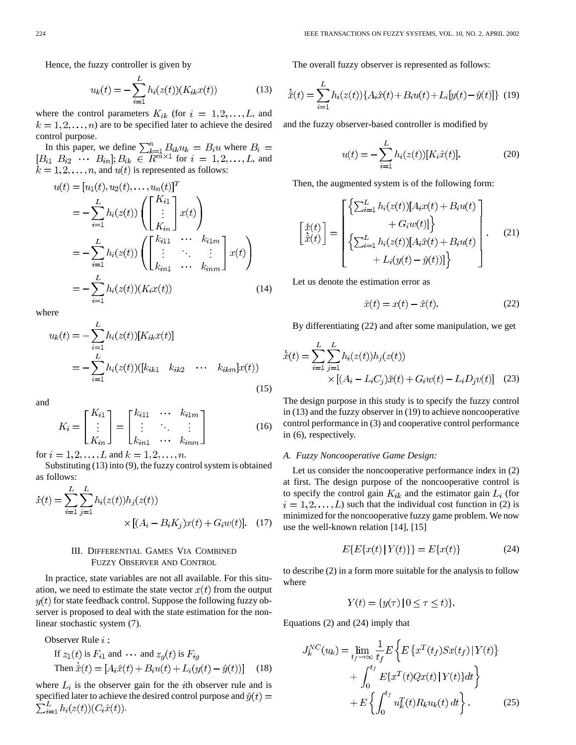Hence, the fuzzy controller is given by

$$
u_k(t) = -\sum_{i=1}^{L} h_i(z(t))(K_{ik}x(t))
$$
\n(13)

where the control parameters  $K_{ik}$  (for  $i = 1, 2, ..., L$ , and  $k = 1, 2, \ldots, n$  are to be specified later to achieve the desired control purpose.

In this paper, we define  $\sum_{k=1}^{n} B_{ik} u_k = B_i u$  where for  $i = 1, 2, \ldots, L$ , and , and  $u(t)$  is represented as follows:

$$
u(t) = [u_1(t), u_2(t), \dots, u_n(t)]^T
$$
  
=  $-\sum_{i=1}^{L} h_i(z(t)) \left( \begin{bmatrix} K_{i1} \\ \vdots \\ K_{in} \end{bmatrix} x(t) \right)$   
=  $-\sum_{i=1}^{L} h_i(z(t)) \left( \begin{bmatrix} k_{i11} & \cdots & k_{i1m} \\ \vdots & \ddots & \vdots \\ k_{in1} & \cdots & k_{inm} \end{bmatrix} x(t) \right)$   
=  $-\sum_{i=1}^{L} h_i(z(t))(K_i x(t))$  (14)

where

$$
u_k(t) = -\sum_{i=1}^{L} h_i(z(t))[K_{ik}x(t)]
$$
  
= 
$$
-\sum_{i=1}^{L} h_i(z(t))([k_{ik1} \quad k_{ik2} \quad \cdots \quad k_{ikm}]x(t))
$$
 (15)

and

$$
K_i = \begin{bmatrix} K_{i1} \\ \vdots \\ K_{in} \end{bmatrix} = \begin{bmatrix} k_{i11} & \cdots & k_{i1m} \\ \vdots & \ddots & \vdots \\ k_{in1} & \cdots & k_{inm} \end{bmatrix}
$$
 (16)

for  $i = 1, 2, ..., L$  and  $k = 1, 2, ..., n$ .

Substituting (13) into (9), the fuzzy control system is obtained as follows:

$$
\dot{x}(t) = \sum_{i=1}^{L} \sum_{j=1}^{L} h_i(z(t))h_j(z(t))
$$
  
 
$$
\times [(A_i - B_i K_j)x(t) + G_i w(t)]. \quad (17)
$$

## III. DIFFERENTIAL GAMES VIA COMBINED FUZZY OBSERVER AND CONTROL

In practice, state variables are not all available. For this situation, we need to estimate the state vector  $x(t)$  from the output  $y(t)$  for state feedback control. Suppose the following fuzzy observer is proposed to deal with the state estimation for the nonlinear stochastic system (7).

Observer Rule  $i$ :

If 
$$
z_1(t)
$$
 is  $F_{i1}$  and  $\cdots$  and  $z_g(t)$  is  $F_{ig}$   
Then  $\dot{\hat{x}}(t) = [A_i \hat{x}(t) + B_i u(t) + L_i (y(t) - \hat{y}(t))]$  (18)

where  $L_i$  is the observer gain for the *i*th observer rule and is specified later to achieve the desired control purpose and  $\hat{y}(t) =$  $\sum_{i=1}^{L} h_i(z(t)) (C_i \hat{x}(t)).$ 

The overall fuzzy observer is represented as follows:

$$
\dot{\hat{x}}(t) = \sum_{i=1}^{L} h_i(z(t)) \{ A_i \hat{x}(t) + B_i u(t) + L_i [y(t) - \hat{y}(t)] \} (19)
$$

and the fuzzy observer-based controller is modified by

$$
u(t) = -\sum_{i=1}^{L} h_i(z(t))[K_i\hat{x}(t)].
$$
\n(20)

Then, the augmented system is of the following form:

$$
\begin{bmatrix}\n\dot{x}(t) \\
\dot{\hat{x}}(t)\n\end{bmatrix} = \begin{bmatrix}\n\begin{Bmatrix}\n\sum_{i=1}^{L} h_i(z(t)) [A_i x(t) + B_i u(t) \\
+ G_i w(t)]\n\end{Bmatrix} + G_i w(t)\n\end{bmatrix} + L_i(y(t) - \hat{y}(t))]\n\end{bmatrix}.
$$
\n(21)

Let us denote the estimation error as

$$
\tilde{x}(t) = x(t) - \hat{x}(t). \tag{22}
$$

By differentiating (22) and after some manipulation, we get

$$
\dot{\tilde{x}}(t) = \sum_{i=1}^{L} \sum_{j=1}^{L} h_i(z(t)) h_j(z(t))
$$
  
 
$$
\times \left[ (A_i - L_i C_j) \tilde{x}(t) + G_i w(t) - L_i D_j v(t) \right] \quad (23)
$$

The design purpose in this study is to specify the fuzzy control in (13) and the fuzzy observer in (19) to achieve noncooperative control performance in (3) and cooperative control performance in (6), respectively.

#### *A. Fuzzy Noncooperative Game Design:*

Let us consider the noncooperative performance index in (2) at first. The design purpose of the noncooperative control is to specify the control gain  $K_{ik}$  and the estimator gain  $L_i$  (for  $i = 1, 2, \dots, L$ ) such that the individual cost function in (2) is minimized for the noncooperative fuzzy game problem. We now use the well-known relation [14], [15]

$$
E\{E\{x(t) | Y(t)\}\} = E\{x(t)\}
$$
 (24)

to describe (2) in a form more suitable for the analysis to follow where

$$
Y(t) = \{y(\tau) \mid 0 \le \tau \le t)\}
$$

Equations (2) and (24) imply that

$$
J_k^{NC}(u_k) = \lim_{t_f \to \infty} \frac{1}{t_f} E \left\{ E \left\{ x^T(t_f) S x(t_f) | Y(t) \right\} + \int_0^{t_f} E \{ x^T(t) Q x(t) | Y(t) \} dt \right\} + E \left\{ \int_0^{t_f} u_k^T(t) R_k u_k(t) dt \right\}.
$$
 (25)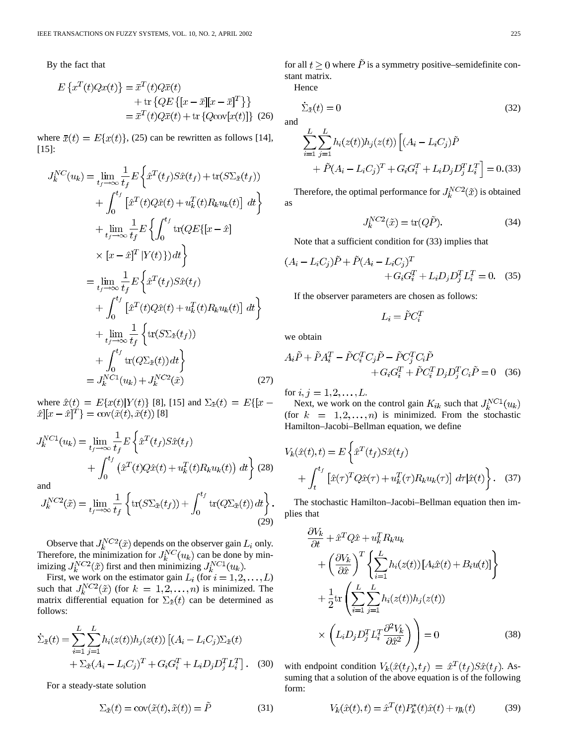By the fact that

$$
E\left\{x^T(t)Qx(t)\right\} = \overline{x}^T(t)Q\overline{x}(t)
$$

$$
+ \text{tr}\left\{QE\left\{[x-\overline{x}][x-\overline{x}]^T\right\}\right\}
$$

$$
= \overline{x}^T(t)Q\overline{x}(t) + \text{tr}\left\{Q\text{cov}[x(t)]\right\} (26)
$$

where  $\bar{x}(t) = E\{x(t)\},$  (25) can be rewritten as follows [14], [15]:

$$
J_k^{NC}(u_k) = \lim_{t_f \to \infty} \frac{1}{t_f} E \left\{ \hat{x}^T(t_f) S \hat{x}(t_f) + \text{tr}(S \Sigma_{\hat{x}}(t_f)) \right.+ \int_0^{t_f} \left[ \hat{x}^T(t) Q \hat{x}(t) + u_k^T(t) R_k u_k(t) \right] dt \right\}+ \lim_{t_f \to \infty} \frac{1}{t_f} E \left\{ \int_0^{t_f} \text{tr}(Q E\{[x - \hat{x}] \right.\times \left[ x - \hat{x} \right]^T |Y(t)\} dt \right\}= \lim_{t_f \to \infty} \frac{1}{t_f} E \left\{ \hat{x}^T(t_f) S \hat{x}(t_f) \right.+ \int_0^{t_f} \left[ \hat{x}^T(t) Q \hat{x}(t) + u_k^T(t) R_k u_k(t) \right] dt \right\}+ \lim_{t_f \to \infty} \frac{1}{t_f} \left\{ \text{tr}(S \Sigma_{\hat{x}}(t_f)) + \int_0^{t_f} \text{tr}(Q \Sigma_{\hat{x}}(t)) dt \right\}= J_k^{NC1}(u_k) + J_k^{NC2}(\tilde{x}) \tag{27}
$$

where  $\hat{x}(t) = E\{x(t)|Y(t)\}$  [8], [15] and [8]

$$
J_k^{NC1}(u_k) = \lim_{t_f \to \infty} \frac{1}{t_f} E\left\{\hat{x}^T(t_f) S \hat{x}(t_f) + \int_0^{t_f} (\hat{x}^T(t) Q \hat{x}(t) + u_k^T(t) R_k u_k(t)) dt\right\}
$$
 (28)  
and

$$
J_k^{NC2}(\tilde{x}) = \lim_{t_f \to \infty} \frac{1}{t_f} \left\{ \text{tr}(S\Sigma_{\tilde{x}}(t_f)) + \int_0^{t_f} \text{tr}(Q\Sigma_{\tilde{x}}(t)) dt \right\}.
$$
\n(29)

Observe that  $J_k^{NC2}(\tilde{x})$  depends on the observer gain  $L_i$  only. Therefore, the minimization for  $J_k^{NC}(u_k)$  can be done by minimizing  $J_k^{NC2}(\tilde{x})$  first and then minimizing  $J_k^{NC1}(u_k)$ .

First, we work on the estimator gain  $L_i$  (for  $i = 1, 2, \dots, L$ ) such that  $J_k^{NC2}(\tilde{x})$  (for  $k = 1, 2, ..., n$ ) is minimized. The matrix differential equation for  $\Sigma_{\tilde{x}}(t)$  can be determined as follows:

$$
\dot{\Sigma}_{\tilde{x}}(t) = \sum_{i=1}^{L} \sum_{j=1}^{L} h_i(z(t)) h_j(z(t)) \left[ (A_i - L_i C_j) \Sigma_{\tilde{x}}(t) + \Sigma_{\tilde{x}} (A_i - L_i C_j)^T + G_i G_i^T + L_i D_j D_j^T L_i^T \right].
$$
 (30)

For a steady-state solution

$$
\Sigma_{\tilde{x}}(t) = \text{cov}(\tilde{x}(t), \tilde{x}(t)) = \tilde{P}
$$
\n(31)

for all  $t \geq 0$  where  $\tilde{P}$  is a symmetry positive–semidefinite constant matrix.

Hence

$$
\dot{\Sigma}_{\tilde{x}}(t) = 0 \tag{32}
$$

and

$$
\sum_{i=1}^{L} \sum_{j=1}^{L} h_i(z(t)) h_j(z(t)) \left[ (A_i - L_i C_j) \tilde{P} + \tilde{P} (A_i - L_i C_j)^T + G_i G_i^T + L_i D_j D_j^T L_i^T \right] = 0. (33)
$$

Therefore, the optimal performance for  $J_k^{NC2}(\tilde{x})$  is obtained as

$$
J_k^{NC2}(\tilde{x}) = \text{tr}(Q\tilde{P}).\tag{34}
$$

Note that a sufficient condition for (33) implies that

$$
(A_i - L_i C_j) \tilde{P} + \tilde{P} (A_i - L_i C_j)^T + G_i G_i^T + L_i D_j D_j^T L_i^T = 0.
$$
 (35)

If the observer parameters are chosen as follows:

$$
L_i = \tilde{P}C_i^T
$$

we obtain

$$
A_i \tilde{P} + \tilde{P} A_i^T - \tilde{P} C_i^T C_j \tilde{P} - \tilde{P} C_j^T C_i \tilde{P} + G_i G_i^T + \tilde{P} C_i^T D_j D_j^T C_i \tilde{P} = 0
$$
 (36)

for  $i, j = 1, 2, ..., L$ .

Next, we work on the control gain  $K_{ik}$  such that  $J_k^{NC1}(u_k)$ (for  $k = 1, 2, ..., n$ ) is minimized. From the stochastic Hamilton–Jacobi–Bellman equation, we define

$$
V_k(\hat{x}(t),t) = E\left\{\hat{x}^T(t_f)S\hat{x}(t_f) + \int_t^{t_f} \left[\hat{x}(\tau)^T Q\hat{x}(\tau) + u_k^T(\tau)R_k u_k(\tau)\right] d\tau |\hat{x}(t)\right\}.
$$
 (37)

The stochastic Hamilton–Jacobi–Bellman equation then implies that

$$
\frac{\partial V_k}{\partial t} + \hat{x}^T Q \hat{x} + u_k^T R_k u_k
$$
  
+ 
$$
\left(\frac{\partial V_k}{\partial \hat{x}}\right)^T \left\{ \sum_{i=1}^L h_i(z(t)) \left[A_i \hat{x}(t) + B_i u(t)\right] \right\}
$$
  
+ 
$$
\frac{1}{2} \text{tr} \left( \sum_{i=1}^L \sum_{j=1}^L h_i(z(t)) h_j(z(t))
$$
  
 
$$
\times \left( L_i D_j D_j^T L_i^T \frac{\partial^2 V_k}{\partial \hat{x}^2} \right) \right) = 0
$$
 (38)

with endpoint condition  $V_k(\hat{x}(t_f), t_f) = \hat{x}^T(t_f)S\hat{x}(t_f)$ . Assuming that a solution of the above equation is of the following form:

$$
V_k(\hat{x}(t), t) = \hat{x}^T(t)P_k^*(t)\hat{x}(t) + \eta_k(t)
$$
 (39)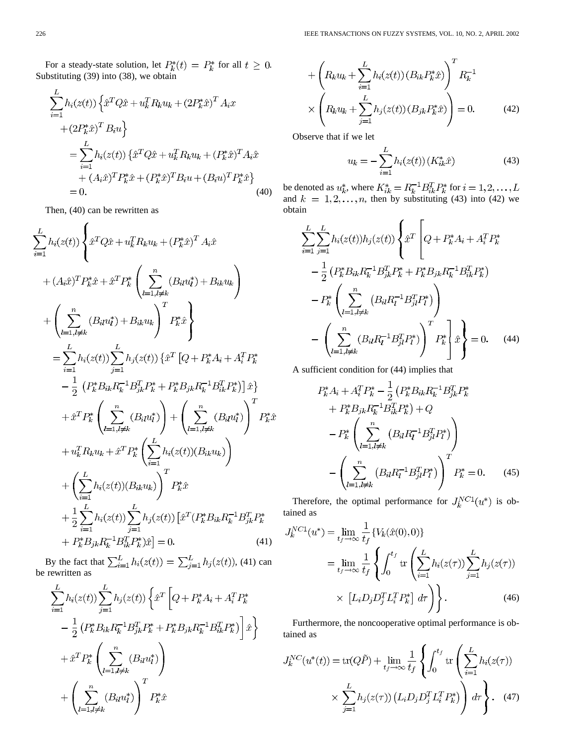For a steady-state solution, let  $P_k^*(t) = P_k^*$  for all  $t \geq 0$ . Substituting (39) into (38), we obtain

$$
\sum_{i=1}^{L} h_i(z(t)) \left\{ \hat{x}^T Q \hat{x} + u_k^T R_k u_k + (2P_k^* \hat{x})^T A_i x \n+ (2P_k^* \hat{x})^T B_i u \right\} \n= \sum_{i=1}^{L} h_i(z(t)) \left\{ \hat{x}^T Q \hat{x} + u_k^T R_k u_k + (P_k^* \hat{x})^T A_i \hat{x} \n+ (A_i \hat{x})^T P_k^* \hat{x} + (P_k^* \hat{x})^T B_i u + (B_i u)^T P_k^* \hat{x} \right\} \n= 0.
$$
\n(40)

Then, (40) can be rewritten as

$$
\sum_{i=1}^{L} h_i(z(t)) \left\{ \hat{x}^T Q \hat{x} + u_k^T R_k u_k + (P_k^* \hat{x})^T A_i \hat{x} \right.\n+ (A_i \hat{x})^T P_k^* \hat{x} + \hat{x}^T P_k^* \left( \sum_{l=1, l \neq k}^{n} (B_{il} u_l^*) + B_{ik} u_k \right) \right.\n+ \left( \sum_{l=1, l \neq k}^{n} (B_{il} u_l^*) + B_{ik} u_k \right)^T P_k^* \hat{x} \right\}\n= \sum_{i=1}^{L} h_i(z(t)) \sum_{j=1}^{L} h_j(z(t)) \left\{ \hat{x}^T \left[ Q + P_k^* A_i + A_i^T P_k^* \right. \right.\n- \frac{1}{2} \left( P_k^* B_{ik} R_k^{-1} B_{jk}^T P_k^* + P_k^* B_{jk} R_k^{-1} B_{ik}^T P_k^* \right) \hat{x} \right\}\n+ \hat{x}^T P_k^* \left( \sum_{l=1, l \neq k}^{n} (B_{il} u_l^*) \right) + \left( \sum_{l=1, l \neq k}^{n} (B_{il} u_l^*) \right)^T P_k^* \hat{x} \n+ u_k^T R_k u_k + \hat{x}^T P_k^* \left( \sum_{i=1}^{L} h_i(z(t)) (B_{ik} u_k) \right) \n+ \left( \sum_{i=1}^{L} h_i(z(t)) (B_{ik} u_k) \right)^T P_k^* \hat{x} \n+ \frac{1}{2} \sum_{i=1}^{L} h_i(z(t)) \sum_{j=1}^{L} h_j(z(t)) \left[ \hat{x}^T (P_k^* B_{ik} R_k^{-1} B_{jk}^T P_k^* \right. \right.\n+ P_k^* B_{jk} R_k^{-1} B_{ik}^T P_k^* \hat{x} \hat{x} \} = 0.
$$
\n(41)

By the fact that  $\sum_{i=1}^{L} h_i(z(t)) = \sum_{i=1}^{L} h_i(z(t))$ , (41) can be rewritten as

$$
\sum_{i=1}^{L} h_i(z(t)) \sum_{j=1}^{L} h_j(z(t)) \left\{ \hat{x}^T \left[ Q + P_k^* A_i + A_i^T P_k^* \right. \\ \left. - \frac{1}{2} \left( P_k^* B_{ik} R_k^{-1} B_{jk}^T P_k^* + P_k^* B_{jk} R_k^{-1} B_{ik}^T P_k^* \right) \right] \hat{x} \right\} \\ + \hat{x}^T P_k^* \left( \sum_{l=1, l \neq k}^{n} (B_{il} u_l^*) \right) \\ + \left( \sum_{l=1, l \neq k}^{n} (B_{il} u_l^*) \right)^T P_k^* \hat{x}
$$

$$
+\left(R_k u_k + \sum_{i=1}^L h_i(z(t)) (B_{ik} P_k^* \hat{x})\right)^T R_k^{-1}
$$

$$
\times \left(R_k u_k + \sum_{j=1}^L h_j(z(t)) (B_{jk} P_k^* \hat{x})\right) = 0.
$$
 (42)

Observe that if we let

$$
u_k = -\sum_{i=1}^{L} h_i(z(t)) (K_{ik}^* \hat{x})
$$
 (43)

be denoted as  $u_k^*$ , where  $K_{ik}^* = R_k^{-1} B_{ik}^T P_k^*$  for and  $k = 1, 2, \ldots, n$ , then by substituting (43) into (42) we obtain

$$
\sum_{i=1}^{L} \sum_{j=1}^{L} h_i(z(t)) h_j(z(t)) \left\{ \hat{x}^T \left[ Q + P_k^* A_i + A_i^T P_k^* - \frac{1}{2} \left( P_k^* B_{ik} R_k^{-1} B_{jk}^T P_k^* + P_k^* B_{jk} R_k^{-1} B_{ik}^T P_k^* \right) - P_k^* \left( \sum_{l=1, l \neq k}^{n} \left( B_{il} R_l^{-1} B_{jl}^T P_l^* \right) \right) - \left( \sum_{l=1, l \neq k}^{n} \left( B_{il} R_l^{-1} B_{jl}^T P_l^* \right) \right)^T P_k^* \right] \hat{x} \right\} = 0. \quad (44)
$$

A sufficient condition for (44) implies that

$$
P_k^* A_i + A_i^T P_k^* - \frac{1}{2} \left( P_k^* B_{ik} R_k^{-1} B_{jk}^T P_k^* + P_k^* B_{jk} R_k^{-1} B_{ik}^T P_k^* \right) + Q
$$

$$
- P_k^* \left( \sum_{l=1, l \neq k}^n \left( B_{il} R_l^{-1} B_{jl}^T P_l^* \right) \right)
$$

$$
- \left( \sum_{l=1, l \neq k}^n \left( B_{il} R_l^{-1} B_{jl}^T P_l^* \right) \right)^T P_k^* = 0. \tag{45}
$$

Therefore, the optimal performance for  $J_k^{NC1}(u^*)$  is obtained as

$$
J_k^{NC1}(u^*) = \lim_{t_f \to \infty} \frac{1}{t_f} \{ V_k(\hat{x}(0), 0) \}
$$
  
= 
$$
\lim_{t_f \to \infty} \frac{1}{t_f} \left\{ \int_0^{t_f} \text{tr} \left( \sum_{i=1}^L h_i(z(\tau)) \sum_{j=1}^L h_j(z(\tau)) \right) \times [L_i D_j D_j^T L_i^T P_k^*] d\tau \right\}.
$$
 (46)

Furthermore, the noncooperative optimal performance is obtained as

$$
J_k^{NC}(u^*(t)) = \text{tr}(Q\tilde{P}) + \lim_{t_f \to \infty} \frac{1}{t_f} \left\{ \int_0^{t_f} \text{tr}\left(\sum_{i=1}^L h_i(z(\tau))\right) \times \sum_{j=1}^L h_j(z(\tau)) \left(L_i D_j D_j^T L_i^T P_k^*\right) \right\} d\tau \right\}.
$$
 (47)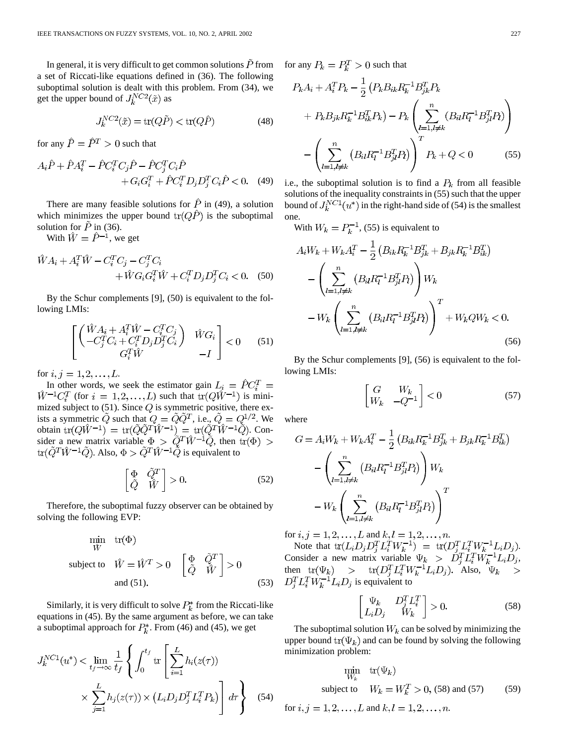In general, it is very difficult to get common solutions  $\dot{P}$  from a set of Riccati-like equations defined in (36). The following suboptimal solution is dealt with this problem. From (34), we get the upper bound of  $J_k^{NC2}(\tilde{x})$  as

$$
J_k^{NC2}(\tilde{x}) = \text{tr}(Q\tilde{P}) < \text{tr}(Q\hat{P})\tag{48}
$$

for any  $\hat{P} = \hat{P}^T > 0$  such that

$$
A_i \hat{P} + \hat{P} A_i^T - \hat{P} C_i^T C_j \hat{P} - \hat{P} C_j^T C_i \hat{P} + G_i G_i^T + \hat{P} C_i^T D_j D_j^T C_i \hat{P} < 0.
$$
 (49)

There are many feasible solutions for  $\hat{P}$  in (49), a solution which minimizes the upper bound  $tr(Q\hat{P})$  is the suboptimal solution for  $\tilde{P}$  in (36).

With  $\hat{W} = \hat{P}^{-1}$ , we get

$$
\hat{W}A_i + A_i^T \hat{W} - C_i^T C_j - C_j^T C_i \n+ \hat{W} G_i G_i^T \hat{W} + C_i^T D_j D_j^T C_i < 0.
$$
\n(50)

By the Schur complements [9], (50) is equivalent to the following LMIs:

$$
\begin{bmatrix}\n\begin{pmatrix}\n\hat{W}A_i + A_i^T \hat{W} - C_i^T C_j \\
-C_j^T C_i + C_i^T D_j D_j^T C_i\n\end{pmatrix} & \hat{W} G_i \\
G_i^T \hat{W} & -I\n\end{bmatrix} < 0 \tag{51}
$$

for  $i, j = 1, 2, ..., L$ .

In other words, we seek the estimator gain  $L_i = \hat{P} C_i^T$  $\hat{W}^{-1}C_i^T$  (for  $i = 1, 2, ..., L$ ) such that  $tr(Q\hat{W}^{-1})$  is minimized subject to  $(51)$ . Since  $Q$  is symmetric positive, there exists a symmetric Q such that  $Q = QQ<sup>T</sup>$ , i.e.,  $Q = Q<sup>1/2</sup>$ . We obtain  $tr(QW^{-1}) = tr(QQ^TW^{-1}) = tr(Q^TW^{-1}Q)$ . Consider a new matrix variable  $\Phi > Q^T W^{-1} Q$ , then . Also,  $\Phi > Q^T W^{-1} Q$  is equivalent to

$$
\begin{bmatrix} \Phi & \tilde{Q}^T \\ \tilde{Q} & \hat{W} \end{bmatrix} > 0.
$$
 (52)

Therefore, the suboptimal fuzzy observer can be obtained by solving the following EVP:

$$
\min_{\hat{W}} \text{tr}(\Phi)
$$
\n
$$
\text{subject to} \quad \hat{W} = \hat{W}^T > 0 \quad \begin{bmatrix} \Phi & \tilde{Q}^T \\ \tilde{Q} & \hat{W} \end{bmatrix} > 0
$$
\n
$$
\text{and (51).} \tag{53}
$$

Similarly, it is very difficult to solve  $P_k^*$  from the Riccati-like equations in (45). By the same argument as before, we can take a suboptimal approach for  $P_k^*$ . From (46) and (45), we get

$$
J_k^{NC1}(u^*) < \lim_{t_f \to \infty} \frac{1}{t_f} \left\{ \int_0^{t_f} \text{tr} \left[ \sum_{i=1}^L h_i(z(\tau)) \times \sum_{j=1}^L h_j(z(\tau)) \times (L_i D_j D_j^T L_i^T P_k) \right] d\tau \right\}
$$
(54)

for any  $P_k = P_k^T > 0$  such that

$$
P_k A_i + A_i^T P_k - \frac{1}{2} \left( P_k B_{ik} R_k^{-1} B_{jk}^T P_k + P_k B_{jk} R_k^{-1} B_{ik}^T P_k \right) - P_k \left( \sum_{l=1, l \neq k}^n (B_{il} R_l^{-1} B_{jl}^T P_l) \right) - \left( \sum_{l=1, l \neq k}^n (B_{il} R_l^{-1} B_{jl}^T P_l) \right)^T P_k + Q < 0 \tag{55}
$$

i.e., the suboptimal solution is to find a  $P_k$  from all feasible solutions of the inequality constraints in (55) such that the upper bound of  $J_k^{NC1}(u^*)$  in the right-hand side of (54) is the smallest one.

With  $W_k = P_k^{-1}$ , (55) is equivalent to

$$
A_i W_k + W_k A_i^T - \frac{1}{2} \left( B_{ik} R_k^{-1} B_{jk}^T + B_{jk} R_k^{-1} B_{ik}^T \right)
$$

$$
- \left( \sum_{l=1, l \neq k}^n \left( B_{il} R_l^{-1} B_{jl}^T P_l \right) \right) W_k
$$

$$
- W_k \left( \sum_{l=1, l \neq k}^n \left( B_{il} R_l^{-1} B_{jl}^T P_l \right) \right)^T + W_k Q W_k < 0.
$$
(56)

By the Schur complements [9], (56) is equivalent to the following LMIs:

$$
\begin{bmatrix}\nG & W_k \\
W_k & -Q^{-1}\n\end{bmatrix} < 0\tag{57}
$$

where

$$
G = A_i W_k + W_k A_i^T - \frac{1}{2} \left( B_{ik} R_k^{-1} B_{jk}^T + B_{jk} R_k^{-1} B_{ik}^T \right)
$$

$$
- \left( \sum_{l=1, l \neq k}^n \left( B_{il} R_l^{-1} B_{jl}^T P_l \right) \right) W_k
$$

$$
- W_k \left( \sum_{l=1, l \neq k}^n \left( B_{il} R_l^{-1} B_{jl}^T P_l \right) \right)^T
$$

for  $i, j = 1, 2, ..., L$  and  $k, l = 1, 2, ..., n$ .

Note that  $tr(L_i D_j D_i^T L_i^T W_k^{-1}) = tr(D_i^T L_i^T W_k^{-1} L_i D_j)$ . Consider a new matrix variable  $\Psi_k > D_i^T L_i^T W_k^{-1} L_i D_i$ , then  $tr(\Psi_k)$  >  $tr(D_i^T L_i^T W_k^{-1} L_i D_i)$ . Also, is equivalent to

$$
\begin{bmatrix} \Psi_k & D_j^T L_i^T \\ L_i D_j & W_k \end{bmatrix} > 0.
$$
 (58)

The suboptimal solution  $W_k$  can be solved by minimizing the upper bound  $\text{tr}(\Psi_k)$  and can be found by solving the following minimization problem:

$$
\min_{W_k} \quad \text{tr}(\Psi_k)
$$
\n
$$
\text{subject to} \quad W_k = W_k^T > 0, \text{ (58) and (57)} \tag{59}
$$

for 
$$
i, j = 1, 2, ..., L
$$
 and  $k, l = 1, 2, ..., n$ .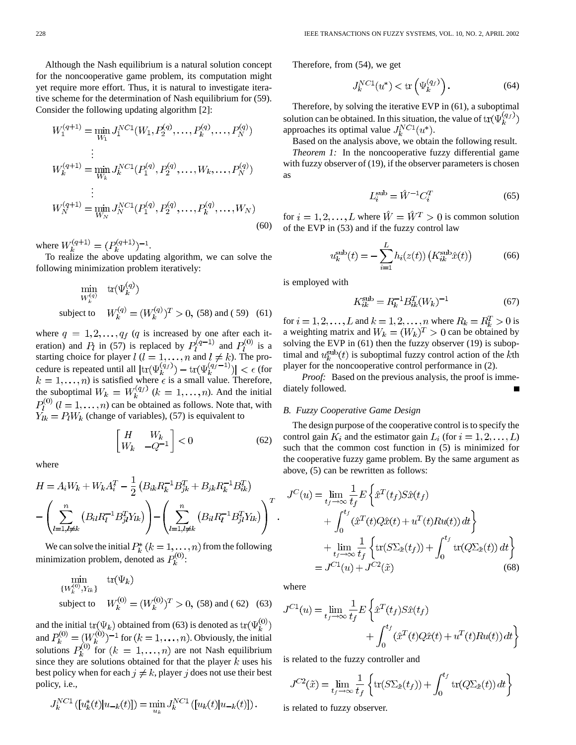Although the Nash equilibrium is a natural solution concept for the noncooperative game problem, its computation might yet require more effort. Thus, it is natural to investigate iterative scheme for the determination of Nash equilibrium for (59). Consider the following updating algorithm [2]:

$$
W_1^{(q+1)} = \min_{W_1} J_1^{NC1}(W_1, P_2^{(q)}, \dots, P_k^{(q)}, \dots, P_N^{(q)})
$$
  
\n
$$
\vdots
$$
  
\n
$$
W_k^{(q+1)} = \min_{W_k} J_k^{NC1}(P_1^{(q)}, P_2^{(q)}, \dots, W_k, \dots, P_N^{(q)})
$$
  
\n
$$
\vdots
$$
  
\n
$$
W_N^{(q+1)} = \min_{W_N} J_N^{NC1}(P_1^{(q)}, P_2^{(q)}, \dots, P_k^{(q)}, \dots, W_N)
$$
  
\n(60)

where  $W_k^{(q+1)} = (P_k^{(q+1)})^{-1}$ .

To realize the above updating algorithm, we can solve the following minimization problem iteratively:

$$
\min_{W_k^{(q)}} \text{tr}(\Psi_k^{(q)})
$$
\nsubject to  $W_k^{(q)} = (W_k^{(q)})^T > 0$ , (58) and (59) (61)

where  $q = 1, 2, ..., q_f$  (q is increased by one after each iteration) and  $P_l$  in (57) is replaced by  $P_l^{(q-1)}$  and  $P_l^{(0)}$  is a starting choice for player  $l$  ( $l = 1, ..., n$  and  $l \neq k$ ). The procedure is repeated until all  $|\text{tr}(\Psi_k^{(q_f)} - \text{tr}(\Psi_k^{(q_f - 1)})| < \epsilon$  (for ) is satisfied where  $\epsilon$  is a small value. Therefore, the suboptimal  $W_k = W_k^{(q_f)}$   $(k = 1, ..., n)$ . And the initial  $P_l^{(0)}$   $(l = 1, \ldots, n)$  can be obtained as follows. Note that, with  $\overline{Y}_{lk} = P_l W_k$  (change of variables), (57) is equivalent to

$$
\begin{bmatrix} H & W_k \\ W_k & -Q^{-1} \end{bmatrix} < 0 \tag{62}
$$

where

$$
H = A_i W_k + W_k A_i^T - \frac{1}{2} \left( B_{ik} R_k^{-1} B_{jk}^T + B_{jk} R_k^{-1} B_{ik}^T \right)
$$

$$
- \left( \sum_{l=1, l \neq k}^n \left( B_{il} R_l^{-1} B_{jl}^T Y_{lk} \right) \right) - \left( \sum_{l=1, l \neq k}^n \left( B_{il} R_l^{-1} B_{jl}^T Y_{lk} \right) \right)^T.
$$

We can solve the initial  $P_k^*(k=1,\ldots,n)$  from the following minimization problem, denoted as  $P_k^{(0)}$ :

$$
\begin{array}{ll}\n\min_{\{W_k^{(0)}, Y_{lk}\}} & \text{tr}(\Psi_k) \\
\text{subject to} & W_k^{(0)} = (W_k^{(0)})^T > 0, \text{ (58) and (62) (63)}\n\end{array}
$$

and the initial  $tr(\Psi_k)$  obtained from (63) is denoted as and  $P_k^{(0)} = (W_k^{(0)})^{-1}$  for  $(k = 1, \ldots, n)$ . Obviously, the initial solutions  $P_k^{(0)}$  for  $(k = 1, ..., n)$  are not Nash equilibrium since they are solutions obtained for that the player  $k$  uses his best policy when for each  $j \neq k$ , player j does not use their best policy, i.e.,

$$
J_k^{NC1}([u_k^*(t)|u_{-k}(t)]) = \min_{u_k} J_k^{NC1}([u_k(t)|u_{-k}(t)])
$$

Therefore, from (54), we get

$$
J_k^{NC1}(u^*) < \text{tr}\left(\Psi_k^{(q_f)}\right). \tag{64}
$$

Therefore, by solving the iterative EVP in (61), a suboptimal solution can be obtained. In this situation, the value of  $tr(\Psi_k^{(q_f)})$ approaches its optimal value  $J_k^{NC1}(u^*)$ .

Based on the analysis above, we obtain the following result.

*Theorem 1:* In the noncooperative fuzzy differential game with fuzzy observer of (19), if the observer parameters is chosen as

$$
L_i^{\text{sub}} = \hat{W}^{-1} C_i^T \tag{65}
$$

for  $i = 1, 2, ..., L$  where  $\hat{W} = \hat{W}^T > 0$  is common solution of the EVP in (53) and if the fuzzy control law

$$
u_k^{\text{sub}}(t) = -\sum_{i=1}^{L} h_i(z(t)) \left( K_{ik}^{\text{sub}} \hat{x}(t) \right)
$$
 (66)

is employed with

$$
K_{ik}^{\text{sub}} = R_k^{-1} B_{ik}^T (W_k)^{-1}
$$
 (67)

for  $i = 1, 2, \dots, L$  and  $k = 1, 2, \dots, n$  where  $R_k = R_k^T > 0$  is a weighting matrix and  $W_k = (W_k)^T > 0$  can be obtained by solving the EVP in (61) then the fuzzy observer (19) is suboptimal and  $u_k^{\text{sub}}(t)$  is suboptimal fuzzy control action of the kth player for the noncooperative control performance in (2).

*Proof:* Based on the previous analysis, the proof is immediately followed.

# *B. Fuzzy Cooperative Game Design*

The design purpose of the cooperative control is to specify the control gain  $K_i$  and the estimator gain  $L_i$  (for  $i = 1, 2, \ldots, L$ ) such that the common cost function in (5) is minimized for the cooperative fuzzy game problem. By the same argument as above, (5) can be rewritten as follows:

$$
J^{C}(u) = \lim_{t_{f} \to \infty} \frac{1}{t_{f}} E\left\{\hat{x}^{T}(t_{f}) S \hat{x}(t_{f})\right.+ \int_{0}^{t_{f}} (\hat{x}^{T}(t) Q \hat{x}(t) + u^{T}(t) R u(t)) dt \right\}+ \lim_{t_{f} \to \infty} \frac{1}{t_{f}} \left\{\text{tr}(S \Sigma_{\tilde{x}}(t_{f})) + \int_{0}^{t_{f}} \text{tr}(Q \Sigma_{\tilde{x}}(t)) dt \right\}= J^{C1}(u) + J^{C2}(\tilde{x}) \tag{68}
$$

where

$$
J^{C1}(u) = \lim_{t_f \to \infty} \frac{1}{t_f} E \left\{ \hat{x}^T(t_f) S \hat{x}(t_f) + \int_0^{t_f} (\hat{x}^T(t) Q \hat{x}(t) + u^T(t) R u(t)) dt \right\}
$$

is related to the fuzzy controller and

$$
J^{C2}(\tilde{x}) = \lim_{t_f \to \infty} \frac{1}{t_f} \left\{ \text{tr}(S\Sigma_{\tilde{x}}(t_f)) + \int_0^{t_f} \text{tr}(Q\Sigma_{\tilde{x}}(t)) dt \right\}
$$

is related to fuzzy observer.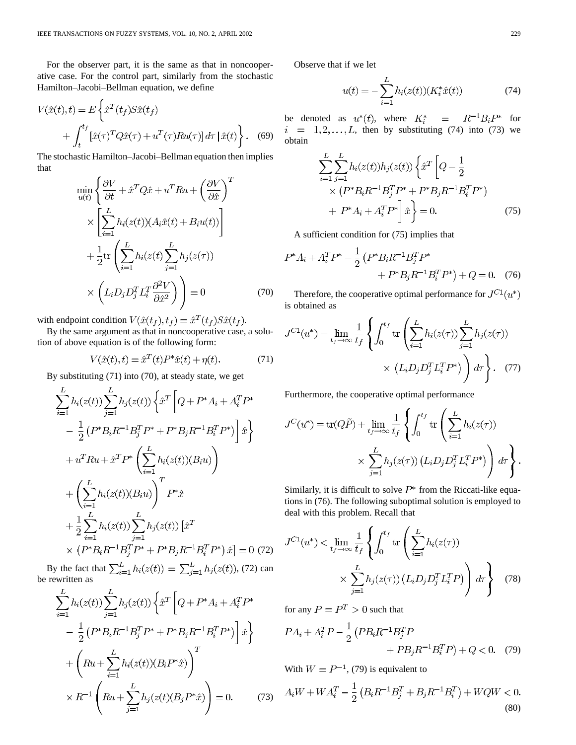For the observer part, it is the same as that in noncooperative case. For the control part, similarly from the stochastic Hamilton–Jacobi–Bellman equation, we define

$$
V(\hat{x}(t),t) = E\left\{\hat{x}^T(t_f)S\hat{x}(t_f) + \int_t^{t_f} [\hat{x}(\tau)^T Q\hat{x}(\tau) + u^T(\tau)Ru(\tau)]d\tau \,|\,\hat{x}(t)\right\}.
$$
 (69)

The stochastic Hamilton–Jacobi–Bellman equation then implies that

$$
\min_{u(t)} \left\{ \frac{\partial V}{\partial t} + \hat{x}^T Q \hat{x} + u^T R u + \left( \frac{\partial V}{\partial \hat{x}} \right)^T \right\} \times \left[ \sum_{i=1}^L h_i(z(t)) (A_i \hat{x}(t) + B_i u(t)) \right] \times \left\{ \sum_{i=1}^L h_i(z(t) \sum_{j=1}^L h_j(z(\tau)) \right\} \times \left( L_i D_j D_j^T L_i^T \frac{\partial^2 V}{\partial \hat{x}^2} \right) \right\} = 0 \tag{70}
$$

with endpoint condition  $V(\hat{x}(t_f), t_f) = \hat{x}^T(t_f)S\hat{x}(t_f)$ .

By the same argument as that in noncooperative case, a solution of above equation is of the following form:

$$
V(\hat{x}(t), t) = \hat{x}^{T}(t)P^*\hat{x}(t) + \eta(t).
$$
 (71)

By substituting (71) into (70), at steady state, we get

$$
\sum_{i=1}^{L} h_i(z(t)) \sum_{j=1}^{L} h_j(z(t)) \left\{ \hat{x}^T \left[ Q + P^* A_i + A_i^T P^* \right] - \frac{1}{2} \left( P^* B_i R^{-1} B_j^T P^* + P^* B_j R^{-1} B_i^T P^* \right) \right] \hat{x} \right\}
$$
  
+ 
$$
u^T R u + \hat{x}^T P^* \left( \sum_{i=1}^{L} h_i(z(t)) (B_i u) \right)
$$
  
+ 
$$
\left( \sum_{i=1}^{L} h_i(z(t)) (B_i u) \right)^T P^* \hat{x}
$$
  
+ 
$$
\frac{1}{2} \sum_{i=1}^{L} h_i(z(t)) \sum_{j=1}^{L} h_j(z(t)) \left[ \hat{x}^T \right]
$$
  
× 
$$
\left( P^* B_i R^{-1} B_j^T P^* + P^* B_j R^{-1} B_i^T P^* \right) \hat{x} = 0 \quad (72)
$$

By the fact that  $\sum_{i=1}^{L} h_i(z(t)) = \sum_{j=1}^{L} h_j(z(t))$ , (72) can be rewritten as

$$
\sum_{i=1}^{L} h_i(z(t)) \sum_{j=1}^{L} h_j(z(t)) \left\{ \hat{x}^T \left[ Q + P^* A_i + A_i^T P^* \right] - \frac{1}{2} \left( P^* B_i R^{-1} B_j^T P^* + P^* B_j R^{-1} B_i^T P^* \right) \right] \hat{x} \right\}
$$

$$
+ \left( R u + \sum_{i=1}^{L} h_i(z(t)) (B_i P^* \hat{x}) \right)^T
$$

$$
\times R^{-1} \left( R u + \sum_{j=1}^{L} h_j(z(t) (B_j P^* \hat{x}) \right) = 0. \qquad (73)
$$

Observe that if we let

$$
u(t) = -\sum_{i=1}^{L} h_i(z(t))(K_i^* \hat{x}(t))
$$
\n(74)

be denoted as  $u^*(t)$ , where  $K_i^* = R^{-1}B_iP^*$  for  $i = 1, 2, \ldots, L$ , then by substituting (74) into (73) we obtain

$$
\sum_{i=1}^{L} \sum_{j=1}^{L} h_i(z(t)) h_j(z(t)) \left\{ \hat{x}^T \left[ Q - \frac{1}{2} \times (P^* B_i R^{-1} B_j^T P^* + P^* B_j R^{-1} B_i^T P^* \right) + P^* A_i + A_i^T P^* \right] \hat{x} \right\} = 0.
$$
 (75)

A sufficient condition for (75) implies that

$$
P^*A_i + A_i^T P^* - \frac{1}{2} \left( P^* B_i R^{-1} B_j^T P^* + P^* B_j R^{-1} B_i^T P^* \right) + Q = 0. \quad (76)
$$

Therefore, the cooperative optimal performance for  $J^{C_1}(u^*)$ is obtained as

$$
J^{C1}(u^*) = \lim_{t_f \to \infty} \frac{1}{t_f} \left\{ \int_0^{t_f} \text{tr} \left( \sum_{i=1}^L h_i(z(\tau)) \sum_{j=1}^L h_j(z(\tau)) \right) \times (L_i D_j D_j^T L_i^T P^*) \right) d\tau \right\}.
$$
 (77)

Furthermore, the cooperative optimal performance

$$
J^{C}(u^{*}) = \text{tr}(Q\tilde{P}) + \lim_{t_{f} \to \infty} \frac{1}{t_{f}} \left\{ \int_{0}^{t_{f}} \text{tr}\left(\sum_{i=1}^{L} h_{i}(z(\tau))\right) \times \sum_{j=1}^{L} h_{j}(z(\tau)) (L_{i}D_{j}D_{j}^{T}L_{i}^{T}P^{*}) \right) d\tau \right\}.
$$

Similarly, it is difficult to solve  $P^*$  from the Riccati-like equations in (76). The following suboptimal solution is employed to deal with this problem. Recall that

$$
J^{C1}(u^*) < \lim_{t_f \to \infty} \frac{1}{t_f} \left\{ \int_0^{t_f} \text{tr}\left( \sum_{i=1}^L h_i(z(\tau)) \times \sum_{j=1}^L h_j(z(\tau)) \left( L_i D_j D_j^T L_i^T P \right) \right) d\tau \right\}
$$
(78)

for any  $P = P^T > 0$  such that

$$
PA_i + A_i^T P - \frac{1}{2} \left( PB_i R^{-1} B_j^T P + PB_j R^{-1} B_i^T P \right) + Q < 0. \tag{79}
$$

With  $W = P^{-1}$ , (79) is equivalent to

 $A_iW + WA_i^T - \frac{1}{2} \left( B_i R^{-1} B_j^T + B_j R^{-1} B_i^T \right) + WQW < 0.$ (80)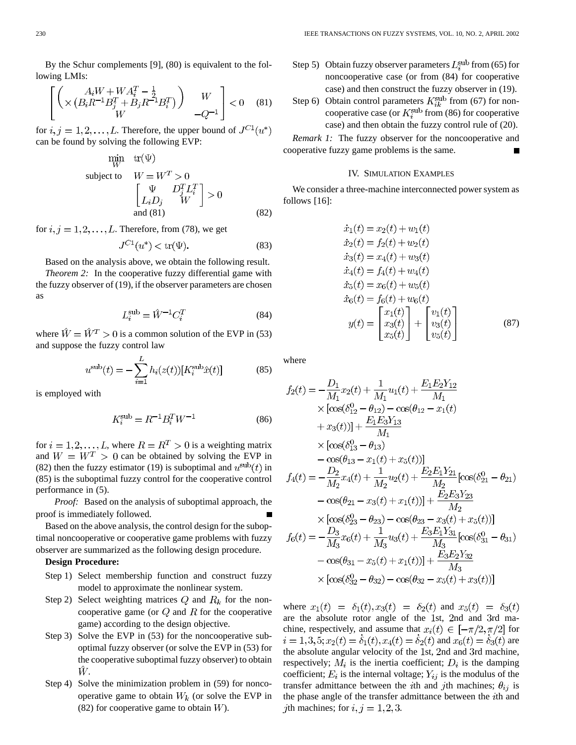By the Schur complements [9], (80) is equivalent to the following LMIs:

$$
\begin{bmatrix}\n\left( \times \frac{A_i W + W A_i^T - \frac{1}{2}}{(B_i R^{-1} B_j^T + B_j R^{-1} B_i^T)} \right) & W \\
W & -Q^{-1}\n\end{bmatrix} < 0 \quad (81)
$$

for  $i, j = 1, 2, ..., L$ . Therefore, the upper bound of  $J^{C_1}(u^*)$ can be found by solving the following EVP:

 $\sim$   $\sim$   $\sim$   $\sim$   $\sim$ 

$$
\begin{aligned}\n\min_{W} & \text{tr}(\Psi) \\
\text{subject to} & W = W^T > 0 \\
& \begin{bmatrix} \Psi & D_j^T L_i^T \\ L_i D_j & W \end{bmatrix} > 0 \\
\text{and (81)}\n\end{aligned}
$$
\n
$$
(82)
$$

for  $i, j = 1, 2, \ldots, L$ . Therefore, from (78), we get

$$
J^{C1}(u^*) < \text{tr}(\Psi). \tag{83}
$$

Based on the analysis above, we obtain the following result.

*Theorem 2:* In the cooperative fuzzy differential game with the fuzzy observer of (19), if the observer parameters are chosen as

$$
L_i^{\text{sub}} = \hat{W}^{-1} C_i^T \tag{84}
$$

where  $\hat{W} = \hat{W}^T > 0$  is a common solution of the EVP in (53) and suppose the fuzzy control law

$$
u^{\text{sub}}(t) = -\sum_{i=1}^{L} h_i(z(t)) [K_i^{\text{sub}} \hat{x}(t)] \tag{85}
$$

is employed with

$$
K_i^{\rm sub} = R^{-1} B_i^T W^{-1}
$$
 (86)

for  $i = 1, 2, ..., L$ , where  $R = R^T > 0$  is a weighting matrix and  $W = W^T > 0$  can be obtained by solving the EVP in (82) then the fuzzy estimator (19) is suboptimal and  $u^{\text{sub}}(t)$  in (85) is the suboptimal fuzzy control for the cooperative control performance in (5).

*Proof:* Based on the analysis of suboptimal approach, the proof is immediately followed.

Based on the above analysis, the control design for the suboptimal noncooperative or cooperative game problems with fuzzy observer are summarized as the following design procedure.

# **Design Procedure:**

- Step 1) Select membership function and construct fuzzy model to approximate the nonlinear system.
- Step 2) Select weighting matrices  $Q$  and  $R_k$  for the noncooperative game (or  $Q$  and  $R$  for the cooperative game) according to the design objective.
- Step 3) Solve the EVP in (53) for the noncooperative suboptimal fuzzy observer (or solve the EVP in (53) for the cooperative suboptimal fuzzy observer) to obtain Ŵ.
- Step 4) Solve the minimization problem in (59) for noncooperative game to obtain  $W_k$  (or solve the EVP in (82) for cooperative game to obtain  $W$ ).
- Step 5) Obtain fuzzy observer parameters  $L_i^{\text{sub}}$  from (65) for noncooperative case (or from (84) for cooperative case) and then construct the fuzzy observer in (19).
- Step 6) Obtain control parameters  $K_{ik}^{\text{sub}}$  from (67) for noncooperative case (or  $K_i^{\text{sub}}$  from (86) for cooperative case) and then obtain the fuzzy control rule of (20).

*Remark 1:* The fuzzy observer for the noncooperative and cooperative fuzzy game problems is the same.

### IV. SIMULATION EXAMPLES

We consider a three-machine interconnected power system as follows [16]:

$$
\begin{aligned}\n\dot{x}_1(t) &= x_2(t) + w_1(t) \\
\dot{x}_2(t) &= f_2(t) + w_2(t) \\
\dot{x}_3(t) &= x_4(t) + w_3(t) \\
\dot{x}_4(t) &= f_4(t) + w_4(t) \\
\dot{x}_5(t) &= x_6(t) + w_5(t) \\
\dot{x}_6(t) &= f_6(t) + w_6(t) \\
y(t) &= \begin{bmatrix} x_1(t) \\ x_3(t) \\ x_5(t) \end{bmatrix} + \begin{bmatrix} v_1(t) \\ v_3(t) \\ v_5(t) \end{bmatrix} \tag{87}\n\end{aligned}
$$

where

$$
f_2(t) = -\frac{D_1}{M_1}x_2(t) + \frac{1}{M_1}u_1(t) + \frac{E_1E_2Y_{12}}{M_1}
$$
  
\n
$$
\times [\cos(\delta_{12}^0 - \theta_{12}) - \cos(\theta_{12} - x_1(t)
$$
  
\n
$$
+ x_3(t))] + \frac{E_1E_3Y_{13}}{M_1}
$$
  
\n
$$
\times [\cos(\delta_{13}^0 - \theta_{13})
$$
  
\n
$$
- \cos(\theta_{13} - x_1(t) + x_5(t))]
$$
  
\n
$$
f_4(t) = -\frac{D_2}{M_2}x_4(t) + \frac{1}{M_2}u_2(t) + \frac{E_2E_1Y_{21}}{M_2}[\cos(\delta_{21}^0 - \theta_{21})
$$
  
\n
$$
- \cos(\theta_{21} - x_3(t) + x_1(t))] + \frac{E_2E_3Y_{23}}{M_2}
$$
  
\n
$$
\times [\cos(\delta_{23}^0 - \theta_{23}) - \cos(\theta_{23} - x_3(t) + x_5(t))]
$$
  
\n
$$
f_6(t) = -\frac{D_3}{M_3}x_6(t) + \frac{1}{M_3}u_3(t) + \frac{E_3E_1Y_{31}}{M_3}[\cos(\delta_{31}^0 - \theta_{31})
$$
  
\n
$$
- \cos(\theta_{31} - x_5(t) + x_1(t))] + \frac{E_3E_2Y_{32}}{M_3}
$$
  
\n
$$
\times [\cos(\delta_{32}^0 - \theta_{32}) - \cos(\theta_{32} - x_5(t) + x_3(t))]
$$

where  $x_1(t) = \delta_1(t), x_3(t) = \delta_2(t)$  and  $x_5(t) = \delta_3(t)$ are the absolute rotor angle of the 1st, 2nd and 3rd machine, respectively, and assume that  $x_i(t) \in [-\pi/2, \pi/2]$  for  $i = 1,3,5; x_2(t) = \delta_1(t), x_4(t) = \delta_2(t)$  and  $x_6(t) = \delta_3(t)$  are the absolute angular velocity of the 1st, 2nd and 3rd machine, respectively;  $M_i$  is the inertia coefficient;  $D_i$  is the damping coefficient;  $E_i$  is the internal voltage;  $Y_{ij}$  is the modulus of the transfer admittance between the *i*th and *j*th machines;  $\theta_{ij}$  is the phase angle of the transfer admittance between the  $i$ th and *j*th machines; for  $i, j = 1, 2, 3$ .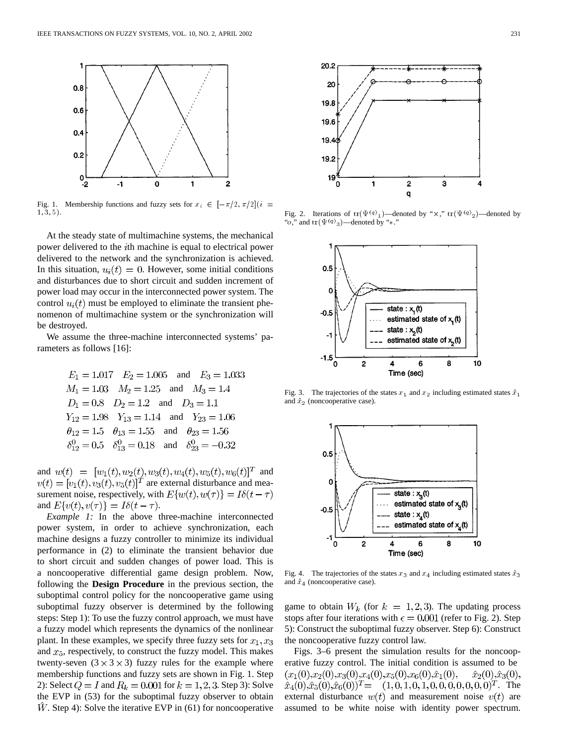

Fig. 1. Membership functions and fuzzy sets for  $x_i \in [-\pi/2, \pi/2](i =$  $1, 3, 5$ .

At the steady state of multimachine systems, the mechanical power delivered to the *i*th machine is equal to electrical power delivered to the network and the synchronization is achieved. In this situation,  $u_i(t) = 0$ . However, some initial conditions and disturbances due to short circuit and sudden increment of power load may occur in the interconnected power system. The control  $u_i(t)$  must be employed to eliminate the transient phenomenon of multimachine system or the synchronization will be destroyed.

We assume the three-machine interconnected systems' parameters as follows [16]:

$$
E_1 = 1.017 \t E_2 = 1.005 \t and \t E_3 = 1.033M1 = 1.03 \t M2 = 1.25 \t and \t M3 = 1.4D1 = 0.8 \t D2 = 1.2 \t and \t D3 = 1.1Y12 = 1.98 \t Y13 = 1.14 \t and \t Y23 = 1.06 $\theta_{12} = 1.5 \t \theta_{13} = 1.55 \t and \t \theta_{23} = 1.56 $\delta_{12}^0 = 0.5 \t \delta_{13}^0 = 0.18 \t and \t \delta_{23}^0 = -0.32$$
$$

and  $w(t) = [w_1(t), w_2(t), w_3(t), w_4(t), w_5(t), w_6(t)]^T$  and  $v(t) = [v_1(t), v_3(t), v_5(t)]^T$  are external disturbance and measurement noise, respectively, with  $E\{w(t), w(\tau)\} = I\delta(t - \tau)$ and  $E\{v(t), v(\tau)\} = I\delta(t - \tau)$ .

*Example 1:* In the above three-machine interconnected power system, in order to achieve synchronization, each machine designs a fuzzy controller to minimize its individual performance in (2) to eliminate the transient behavior due to short circuit and sudden changes of power load. This is a noncooperative differential game design problem. Now, following the **Design Procedure** in the previous section, the suboptimal control policy for the noncooperative game using suboptimal fuzzy observer is determined by the following steps: Step 1): To use the fuzzy control approach, we must have a fuzzy model which represents the dynamics of the nonlinear plant. In these examples, we specify three fuzzy sets for  $x_1, x_3$ and  $x_5$ , respectively, to construct the fuzzy model. This makes twenty-seven  $(3 \times 3 \times 3)$  fuzzy rules for the example where membership functions and fuzzy sets are shown in Fig. 1. Step 2): Select  $Q = I$  and  $R_k = 0.001$  for  $k = 1, 2, 3$ . Step 3): Solve the EVP in (53) for the suboptimal fuzzy observer to obtain  $W$ . Step 4): Solve the iterative EVP in (61) for noncooperative



Fig. 2. Iterations of  $tr(\Psi^{(q)}_1)$ —denoted by " $\times$ ,"  $tr(\Psi^{(q)}_2)$ —denoted by "o," and  $\text{tr}(\Psi^{(q)}_{3})$ —denoted by "\*."



Fig. 3. The trajectories of the states  $x_1$  and  $x_2$  including estimated states  $\hat{x}_1$ and  $\hat{x}_2$  (noncooperative case).



Fig. 4. The trajectories of the states  $x_3$  and  $x_4$  including estimated states  $\hat{x}_3$ and  $\hat{x}_4$  (noncooperative case).

game to obtain  $W_k$  (for  $k = 1, 2, 3$ ). The updating process stops after four iterations with  $\epsilon = 0.001$  (refer to Fig. 2). Step 5): Construct the suboptimal fuzzy observer. Step 6): Construct the noncooperative fuzzy control law.

Figs. 3–6 present the simulation results for the noncooperative fuzzy control. The initial condition is assumed to be  $(x_1(0),x_2(0),x_3(0),x_4(0),x_5(0),x_6(0),\hat{x}_1(0)),$  $\hat{x}_2(0), \hat{x}_3(0),$  $\hat{x}_4(0), \hat{x}_5(0), \hat{x}_6(0)$ <sup>T</sup> =  $(1, 0, 1, 0, 1, 0, 0, 0, 0, 0, 0, 0)^T$ . The external disturbance  $w(t)$  and measurement noise  $v(t)$  are assumed to be white noise with identity power spectrum.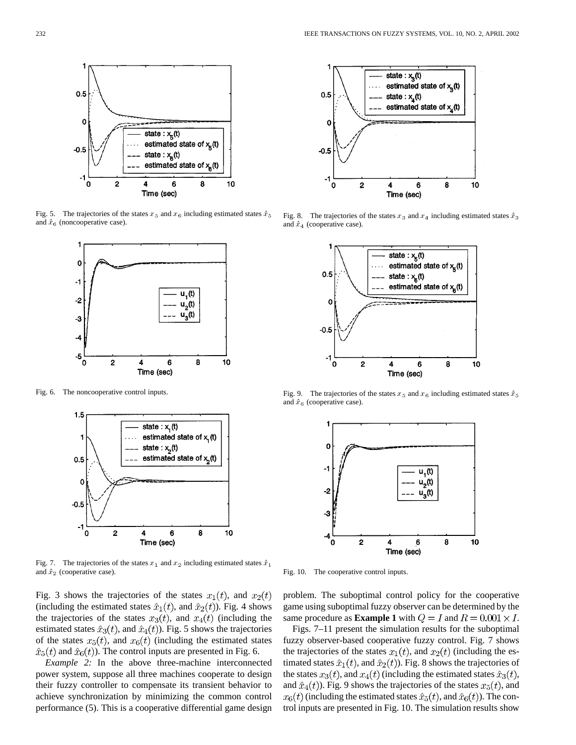

Fig. 5. The trajectories of the and  $\hat{x}_6$  (noncooperative case).



Fig. 6. The noncooperative control inputs.



and  $\hat{x}_2$  (cooperative case).

Fig. 3 shows the trajectories of the states  $x_1(t)$ , and  $x_2(t)$ (including the estimated states  $\hat{x}_1(t)$ , and  $\hat{x}_2(t)$ ). Fig. 4 shows the trajectories of the states  $x_3(t)$ , and  $x_4(t)$  (including the estimated states  $\hat{x}_3(t)$ , and  $\hat{x}_4(t)$ ). Fig. 5 shows the trajectories of the states  $x_5(t)$ , and  $x_6(t)$  (including the estimated states  $\hat{x}_5(t)$  and  $\hat{x}_6(t)$ ). The control inputs are presented in Fig. 6.

*Example 2:* In the above three-machine interconnected power system, suppose all three machines cooperate to design their fuzzy controller to compensate its transient behavior to achieve synchronization by minimizing the common control performance (5). This is a cooperative differential game design



Fig. 8. The trajectories of and  $\hat{x}_4$  (cooperative case).



Fig. 9. The trajectories of and  $\hat{x}_6$  (cooperative case).



Fig. 10. The cooperative control inputs.

problem. The suboptimal control policy for the cooperative game using suboptimal fuzzy observer can be determined by the same procedure as **Example 1** with  $Q = I$  and  $R = 0.001 \times I$ .

Figs. 7–11 present the simulation results for the suboptimal fuzzy observer-based cooperative fuzzy control. Fig. 7 shows the trajectories of the states  $x_1(t)$ , and  $x_2(t)$  (including the estimated states  $\hat{x}_1(t)$ , and  $\hat{x}_2(t)$ ). Fig. 8 shows the trajectories of the states  $x_3(t)$ , and  $x_4(t)$  (including the estimated states  $\hat{x}_3(t)$ , and  $\hat{x}_4(t)$ ). Fig. 9 shows the trajectories of the states  $x_5(t)$ , and  $x_6(t)$  (including the estimated states  $\hat{x}_5(t)$ , and  $\hat{x}_6(t)$ ). The control inputs are presented in Fig. 10. The simulation results show